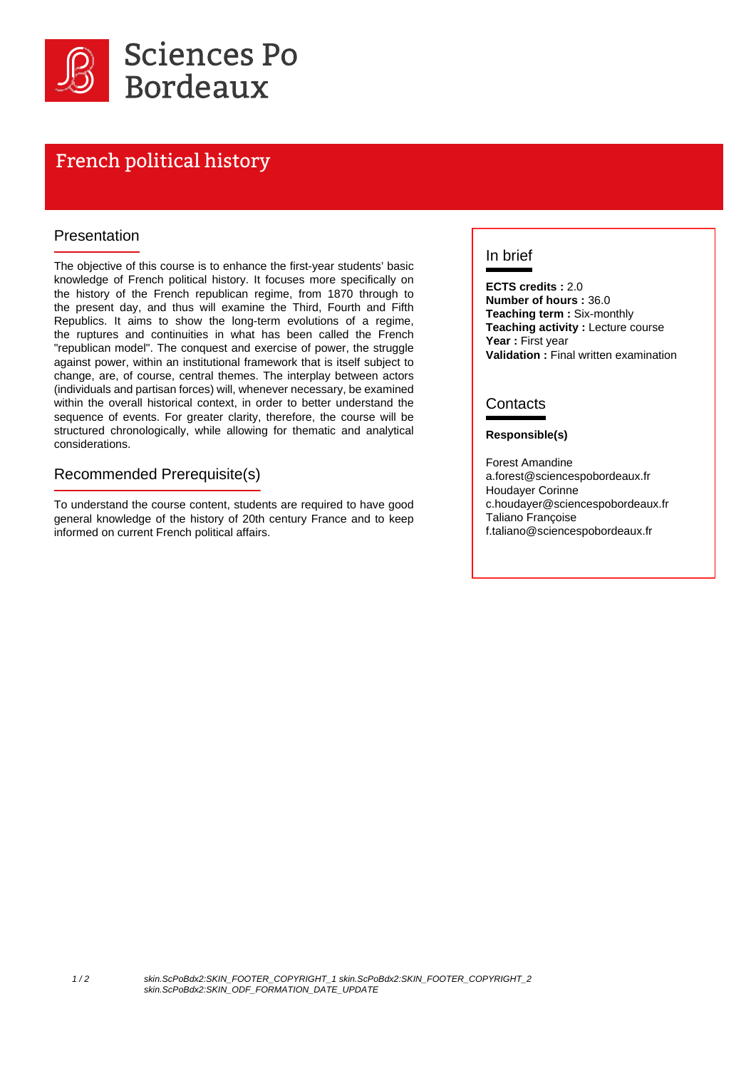

# French political history

#### Presentation

The objective of this course is to enhance the first-year students' basic knowledge of French political history. It focuses more specifically on the history of the French republican regime, from 1870 through to the present day, and thus will examine the Third, Fourth and Fifth Republics. It aims to show the long-term evolutions of a regime, the ruptures and continuities in what has been called the French "republican model". The conquest and exercise of power, the struggle against power, within an institutional framework that is itself subject to change, are, of course, central themes. The interplay between actors (individuals and partisan forces) will, whenever necessary, be examined within the overall historical context, in order to better understand the sequence of events. For greater clarity, therefore, the course will be structured chronologically, while allowing for thematic and analytical considerations.

#### Recommended Prerequisite(s)

To understand the course content, students are required to have good general knowledge of the history of 20th century France and to keep informed on current French political affairs.

### In brief

**ECTS credits :** 2.0 **Number of hours :** 36.0 **Teaching term :** Six-monthly **Teaching activity : Lecture course** Year: First year **Validation :** Final written examination

#### **Contacts**

#### **Responsible(s)**

Forest Amandine a.forest@sciencespobordeaux.fr Houdayer Corinne c.houdayer@sciencespobordeaux.fr Taliano Françoise f.taliano@sciencespobordeaux.fr